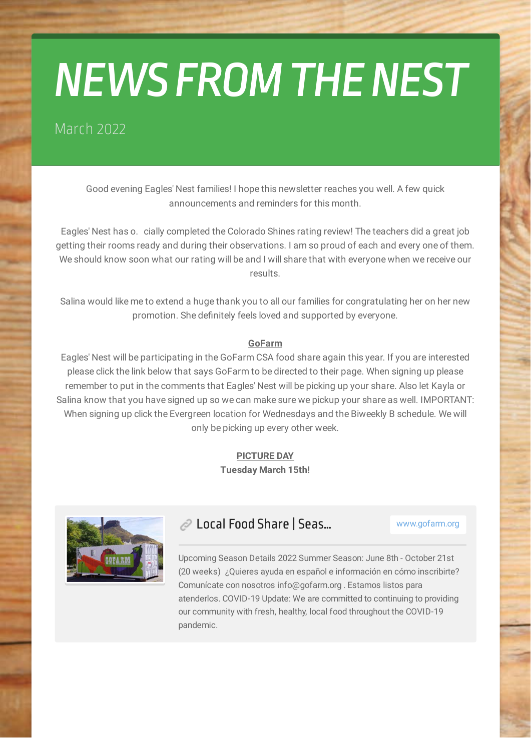# *NEWS FROM THE NEST*

#### March 2022

Good evening Eagles' Nest families! I hope this newsletter reaches you well. A few quick announcements and reminders for this month.

Eagles' Nest has o. cially completed the Colorado Shines rating review! The teachers did a great job getting their rooms ready and during their observations. I am so proud of each and every one of them. We should know soon what our rating will be and I will share that with everyone when we receive our results.

Salina would like me to extend a huge thank you to all our families for congratulating her on her new promotion. She definitely feels loved and supported by everyone.

#### **GoFarm**

Eagles' Nest will be participating in the GoFarm CSA food share again this year. If you are interested please click the link below that says GoFarm to be directed to their page. When signing up please remember to put in the comments that Eagles' Nest will be picking up your share. Also let Kayla or Salina know that you have signed up so we can make sure we pickup your share as well. IMPORTANT: When signing up click the Evergreen location for Wednesdays and the Biweekly B schedule. We will only be picking up every other week.

#### **PICTURE DAY Tuesday March 15th!**



#### **Local Food Share | Seas...** www.gofarm.org

Upcoming Season Details 2022 Summer Season: June 8th - October 21st [\(20 weeks\) ¿Quieres ayuda en español e información en cómo inscribirte?](https://www.gofarm.org/seasondetails) Comunícate con nosotros info@gofarm.org . Estamos listos para atenderlos. COVID-19 Update: We are committed to continuing to providing our community with fresh, healthy, local food throughout the COVID-19 pandemic.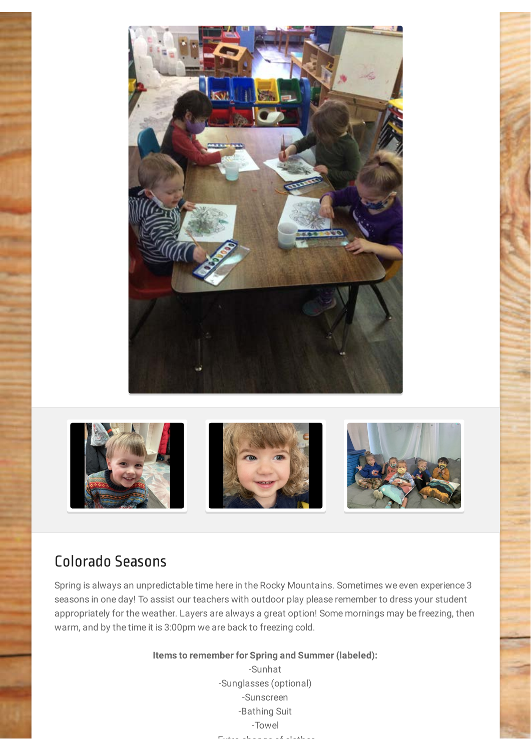



#### Colorado Seasons

Spring is always an unpredictable time here in the Rocky Mountains. Sometimes we even experience 3 seasons in one day! To assist our teachers with outdoor play please remember to dress your student appropriately for the weather. Layers are always a great option! Some mornings may be freezing, then warm, and by the time it is 3:00pm we are back to freezing cold.

**Items to remember for Spring and Summer (labeled):**

-Sunhat -Sunglasses (optional) -Sunscreen -Bathing Suit -Towel  $E = \frac{1}{2}$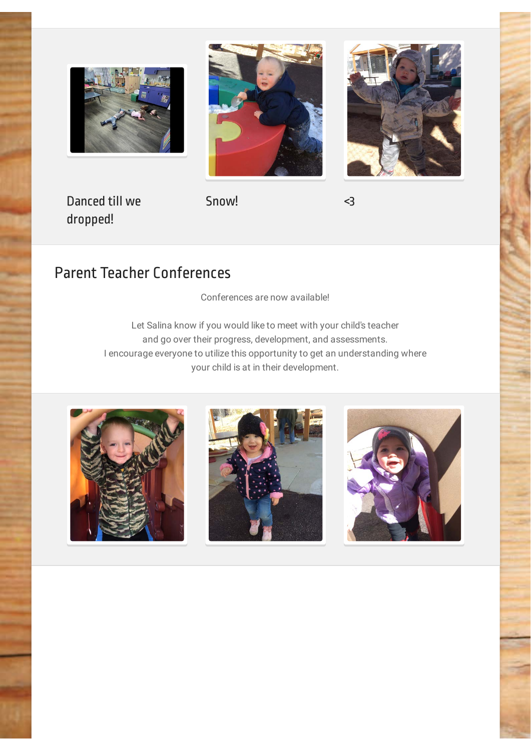





Danced till we dropped!

Snow! <3

### Parent Teacher Conferences

Conferences are now available!

Let Salina know if you would like to meet with your child's teacher and go over their progress, development, and assessments. I encourage everyone to utilize this opportunity to get an understanding where your child is at in their development.





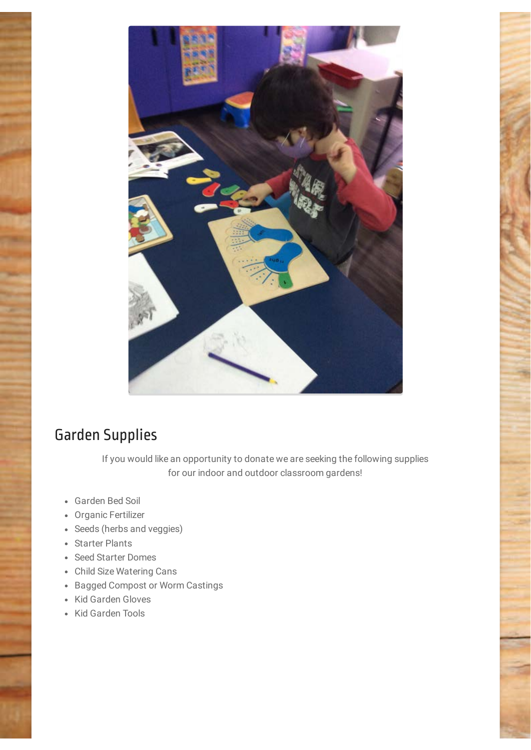

### Garden Supplies

If you would like an opportunity to donate we are seeking the following supplies for our indoor and outdoor classroom gardens!

- Garden Bed Soil
- Organic Fertilizer
- Seeds (herbs and veggies)
- Starter Plants
- Seed Starter Domes
- Child Size Watering Cans
- Bagged Compost or Worm Castings
- Kid Garden Gloves
- Kid Garden Tools